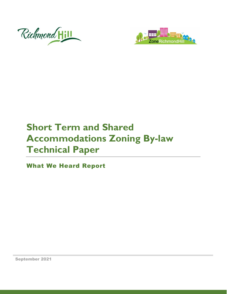



# **Short Term and Shared Accommodations Zoning By-law Technical Paper**

What We Heard Report

September 2021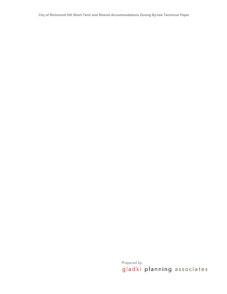**City of Richmond Hill Short Term and Shared Accommodations Zoning By-law Technical Paper**

Prepared by:<br>gladki planning associates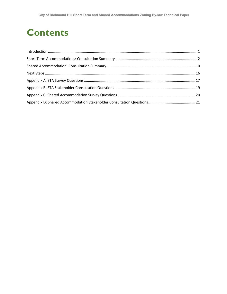## **Contents**

| $\label{eq:1} \mbox{Introduction} \,\, \ldots \,\, \ldots \,\, \ldots \,\, \ldots \,\, \ldots \,\, \ldots \,\, \ldots \,\, \ldots \,\, \ldots \,\, \ldots \,\, \ldots \,\, \ldots \,\, \ldots \,\, \ldots \,\, \ldots \,\, \ldots \,\, \ldots \,\, \ldots \,\, \ldots \,\, \ldots \,\, \ldots \,\, \ldots \,\, \ldots \,\, \ldots \,\, \ldots \,\, \ldots \,\, \ldots \,\, \ldots \,\, \ldots \,\, \ldots \,\, \ldots \,\, \ldots \,\, \ldots \,\, \ldots \,\,$ |  |
|-----------------------------------------------------------------------------------------------------------------------------------------------------------------------------------------------------------------------------------------------------------------------------------------------------------------------------------------------------------------------------------------------------------------------------------------------------------------|--|
|                                                                                                                                                                                                                                                                                                                                                                                                                                                                 |  |
|                                                                                                                                                                                                                                                                                                                                                                                                                                                                 |  |
|                                                                                                                                                                                                                                                                                                                                                                                                                                                                 |  |
|                                                                                                                                                                                                                                                                                                                                                                                                                                                                 |  |
|                                                                                                                                                                                                                                                                                                                                                                                                                                                                 |  |
|                                                                                                                                                                                                                                                                                                                                                                                                                                                                 |  |
|                                                                                                                                                                                                                                                                                                                                                                                                                                                                 |  |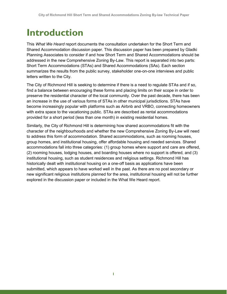## <span id="page-3-0"></span>**Introduction**

This *What We Heard* report documents the consultation undertaken for the Short Term and Shared Accommodation discussion paper. This discussion paper has been prepared by Gladki Planning Associates to consider if and how Short Term and Shared Accommodations should be addressed in the new Comprehensive Zoning By-Law. This report is separated into two parts: Short Term Accommodations (STAs) and Shared Accommodations (SAs). Each section summarizes the results from the public survey, stakeholder one-on-one interviews and public letters written to the City.

The City of Richmond Hill is seeking to determine if there is a need to regulate STAs and if so, find a balance between encouraging these forms and placing limits on their scope in order to preserve the residential character of the local community. Over the past decade, there has been an increase in the use of various forms of STAs in other municipal jurisdictions. STAs have become increasingly popular with platforms such as Airbnb and VRBO, connecting homeowners with extra space to the vacationing public. STAs are described as rental accommodations provided for a short period (less than one month) in existing residential homes.

Similarly, the City of Richmond Hill is determining how shared accommodations fit with the character of the neighbourhoods and whether the new Comprehensive Zoning By-Law will need to address this form of accommodation. Shared accommodations, such as rooming houses, group homes, and institutional housing, offer affordable housing and needed services. Shared accommodations fall into three categories: (1) group homes where support and care are offered, (2) rooming houses, lodging houses, and boarding houses where no support is offered, and (3) institutional housing, such as student residences and religious settings. Richmond Hill has historically dealt with institutional housing on a one-off basis as applications have been submitted, which appears to have worked well in the past. As there are no post secondary or new significant religious institutions planned for the area, institutional housing will not be further explored in the discussion paper or included in the What We Heard report.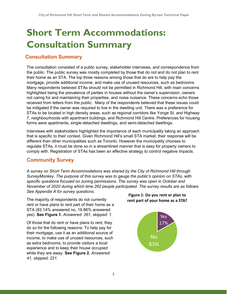# <span id="page-4-0"></span>**Short Term Accommodations: Consultation Summary**

## **Consultation Summary**

The consultation consisted of a public survey, stakeholder interviews, and correspondence from the public. The public survey was mostly completed by those that do not and do not plan to rent their home as an STA. The top three reasons among those that do are to help pay the mortgage, provide additional income, and make use of unused resources, such as bedrooms. Many respondents believed STAs should not be permitted in Richmond Hill, with main concerns highlighted being the prevalence of parties in houses without the owner's supervision, owners not caring for and maintaining their properties, and noise nuisance. These concerns echo those received from letters from the public. Many of the respondents believed that these issues could be mitigated if the owner was required to live in the dwelling unit. There was a preference for STAs to be located in high density areas, such as regional corridors like Yonge St. and Highway 7, neighbourhoods with apartment buildings, and Richmond Hill Centre. Preferences for housing forms were apartments, single-detached dwellings, and semi-detached dwellings.

Interviews with stakeholders highlighted the importance of each municipality taking an approach that is specific to their context. Given Richmond Hill's small STA market, their response will be different than other municipalities such as Toronto. However the municipality chooses to regulate STAs, it must be done so in a streamlined manner that is easy for property owners to comply with. Registration of STAs has been an effective strategy to control negative impacts.

## **Community Survey**

*A survey on Short Term Accommodations was shared by the City of Richmond Hill through SurveyMonkey. The purpose of this survey was to gauge the public's opinion on STAs, with specific questions focused on zoning permissions. The survey was open in October and November of 2020 during which time 262 people participated. The survey results are as follows. See Appendix A for survey questions.*

The majority of respondents do not currently rent or have plans to rent part of their home as a STA (83.14% answered no, 16.86% answered yes). **See Figure 1.** *Answered: 261, skipped: 1.*

Of those that do rent or have plans to rent, they do so for the following reasons*:* To help pay for their mortgage, use it as an additional source of income, to make use of unused resources, such as extra bedrooms, to provide visitors a local experience and to keep their house occupied while they are away. **See Figure 2.** *Answered: 41, skipped: 221.*

#### **Figure 1: Do you rent or plan to rent part of your home as a STA?**

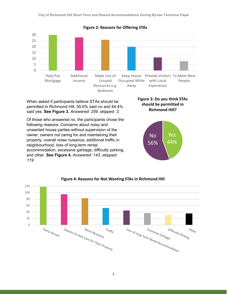

**Figure 2: Reasons for Offering STAs**

When asked if participants believe STAs should be permitted in Richmond Hill, 55.6% said no and 44.4% said yes. **See Figure 3.** *Answered: 259, skipped: 3.*

Of those who answered no, the participants chose the following reasons: Concerns about noisy and unwanted house parties without supervision of the owner, owners not caring for and maintaining their property, overall noise nuisance, additional traffic in neighbourhood, loss of long-term rental accommodation, excessive garbage, difficulty parking, and other. **See Figure 4.** *Answered: 143, skipped: 119.*







#### **Figure 4: Reasons for Not Wanting STAs in Richmond Hill**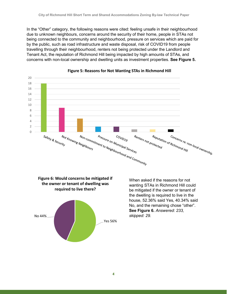In the "Other" category, the following reasons were cited: feeling unsafe in their neighbourhood due to unknown neighbours, concerns around the security of their home, people in STAs not being connected to the community and neighbourhood, pressure on services which are paid for by the public, such as road infrastructure and waste disposal, risk of COVID19 from people travelling through their neighbourhood, renters not being protected under the Landlord and Tenant Act, the reputation of Richmond Hill being impacted by high amounts of STAs, and concerns with non-local ownership and dwelling units as investment properties. **See Figure 5.**



#### **Figure 5: Reasons for Not Wanting STAs in Richmond Hill**





When asked if the reasons for not wanting STAs in Richmond Hill could be mitigated if the owner or tenant of the dwelling is required to live in the house, 52.36% said Yes, 40.34% said No, and the remaining chose "other". **See Figure 6.** *Answered: 233, skipped: 29.*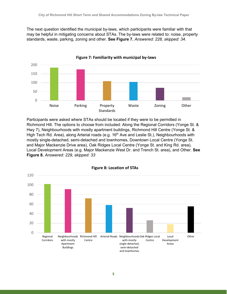The next question identified the municipal by-laws, which participants were familiar with that may be helpful in mitigating concerns about STAs. The by-laws were related to: noise, property standards, waste, parking, zoning and other. **See Figure 7.** *Answered: 228, skipped: 34.*



**Figure 7: Familiarity with municipal by-laws**

Participants were asked where STAs should be located if they were to be permitted in Richmond Hill. The options to choose from included: Along the Regional Corridors (Yonge St. & Hwy 7), Neighbourhoods with mostly apartment buildings, Richmond Hill Centre (Yonge St. & High Tech Rd. Area), along Arterial roads (e.g. 16<sup>th</sup> Ave and Leslie St.), Neighbourhoods with mostly single-detached, semi-detached and townhomes, Downtown Local Centre (Yonge St. and Major Mackenzie Drive area), Oak Ridges Local Centre (Yonge St. and King Rd. area), Local Development Areas (e.g. Major Mackenzie West Dr. and Trench St. area), and Other. **See Figure 8.** *Answered: 229, skipped: 33*



**Figure 8: Location of STAs**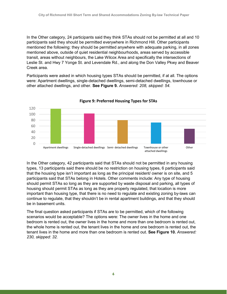In the Other category, 24 participants said they think STAs should not be permitted at all and 10 participants said they should be permitted everywhere in Richmond Hill. Other participants mentioned the following: they should be permitted anywhere with adequate parking, in all zones mentioned above, outside of quiet residential neighbourhoods, areas served by accessible transit, areas without neighbours, the Lake Wilcox Area and specifically the intersections of Leslie St. and Hwy 7 Yonge St. and Levendale Rd., and along the Don Valley Pkwy and Beaver Creek area.

Participants were asked in which housing types STAs should be permitted, if at all. The options were: Apartment dwellings, single-detached dwellings, semi-detached dwellings, townhouse or other attached dwellings, and other. **See Figure 9.** *Answered: 208, skipped: 54.*



#### **Figure 9: Preferred Housing Types for STAs**

In the Other category, 42 participants said that STAs should not be permitted in any housing types, 13 participants said there should be no restriction on housing types, 6 participants said that the housing type isn't important as long as the principal resident/ owner is on site, and 5 participants said that STAs belong in Hotels. Other comments include: Any type of housing should permit STAs so long as they are supported by waste disposal and parking, all types of housing should permit STAs as long as they are properly regulated, that location is more important than housing type, that there is no need to regulate and existing zoning by-laws can continue to regulate, that they shouldn't be in rental apartment buildings, and that they should be in basement units.

The final question asked participants if STAs are to be permitted, which of the following scenarios would be acceptable? The options were: The owner lives in the home and one bedroom is rented out, the owner lives in the home and more than one bedroom is rented out, the whole home is rented out, the tenant lives in the home and one bedroom is rented out, the tenant lives in the home and more than one bedroom is rented out. **See Figure 10.** *Answered: 230, skipped: 32.*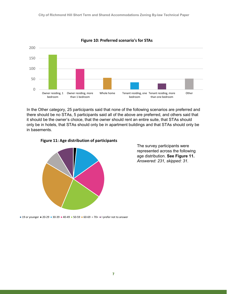

**Figure 10: Preferred scenario's for STAs**

In the Other category, 25 participants said that none of the following scenarios are preferred and there should be no STAs, 5 participants said all of the above are preferred, and others said that it should be the owner's choice, that the owner should rent an entire suite, that STAs should only be in hotels, that STAs should only be in apartment buildings and that STAs should only be in basements.





The survey participants were represented across the following age distribution. **See Figure 11.** *Answered: 231, skipped: 31.*

■ 19 or younger ■ 20-29 ■ 30-39 ■ 40-49 ■ 50-59 ■ 60-69 ■ 70+ ■ I prefer not to answer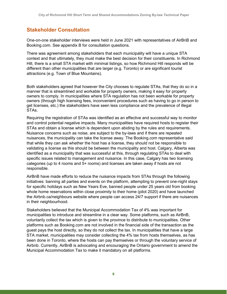## **Stakeholder Consultation**

One-on-one stakeholder interviews were held in June 2021 with representatives of AirBnB and Booking.com. See appendix B for consultation questions.

There was agreement among stakeholders that each municipality will have a unique STA context and that ultimately, they must make the best decision for their constituents. In Richmond Hill, there is a small STA market with minimal listings, so how Richmond Hill responds will be different than other municipalities that are larger (e.g. Toronto) or are significant tourist attractions (e.g. Town of Blue Mountains).

Both stakeholders agreed that however the City chooses to regulate STAs, that they do so in a manner that is streamlined and workable for property owners, making it easy for property owners to comply. In municipalities where STA regulation has not been workable for property owners (through high licensing fees, inconvenient procedures such as having to go in person to get licenses, etc.) the stakeholders have seen less compliance and the prevalence of illegal STAs.

Requiring the registration of STAs was identified as an effective and successful way to monitor and control potential negative impacts. Many municipalities have required hosts to register their STAs and obtain a license which is dependent upon abiding by the rules and requirements. Nuisance concerns such as noise, are subject to the by-laws and if there are repeated nuisances, the municipality can take the license away. The Booking.com representative said that while they can ask whether the host has a license, they should not be responsible to validating a license as this should be between the municipality and host. Calgary, Alberta was identified as a municipality that was successful at this, through regulating STAs to deal with specific issues related to management and nuisance. In this case, Calgary has two licensing categories (up to 4 rooms and 5+ rooms) and licenses are taken away if hosts are not responsible.

AirBnB have made efforts to reduce the nuisance impacts from STAs through the following initiatives: banning all parties and events on the platform, attempting to prevent one-night stays for specific holidays such as New Years Eve, banned people under 25 years old from booking whole home reservations within close proximity to their home (pilot 2020) and have launched the Airbnb.ca/neighbours website where people can access 24/7 support if there are nuisances in their neighbourhood.

Stakeholders believed that the Municipal Accommodation Tax of 4% was important for municipalities to introduce and streamline in a clear way. Some platforms, such as AirBnB, voluntarily collect the tax which is given to the province to distribute to municipalities. Other platforms such as Booking.com are not involved in the financial side of the transaction as the guest pays the host directly, so they do not collect the tax. In municipalities that have a large STA market, municipalities may consider collecting the 4% tax from hosts themselves, as has been done in [Toronto,](https://www.toronto.ca/community-people/housing-shelter/short-term-rentals/short-term-rental-operators-hosts/short-term-rental-municipal-accommodation-tax/) where the hosts can pay themselves or through the voluntary service of Airbnb. Currently, AirBnB is advocating and encouraging the Ontario government to amend the Municipal Accommodation Tax to make it mandatory on all platforms.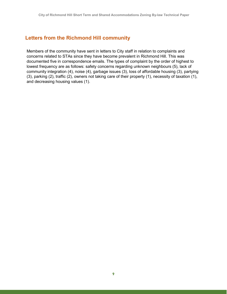### **Letters from the Richmond Hill community**

Members of the community have sent in letters to City staff in relation to complaints and concerns related to STAs since they have become prevalent in Richmond Hill. This was documented five in correspondence emails. The types of complaint by the order of highest to lowest frequency are as follows: safety concerns regarding unknown neighbours (5), lack of community integration (4), noise (4), garbage issues (3), loss of affordable housing (3), partying (3), parking (2), traffic (2), owners not taking care of their property (1), necessity of taxation (1), and decreasing housing values (1).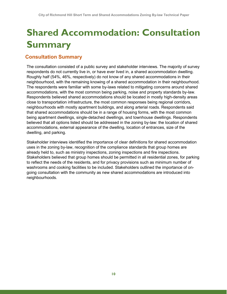# <span id="page-12-0"></span>**Shared Accommodation: Consultation Summary**

## **Consultation Summary**

The consultation consisted of a public survey and stakeholder interviews. The majority of survey respondents do not currently live in, or have ever lived in, a shared accommodation dwelling. Roughly half (54%, 46%, respectively) do not know of any shared accommodations in their neighbourhood, with the remaining knowing of a shared accommodation in their neighbourhood. The respondents were familiar with some by-laws related to mitigating concerns around shared accommodations, with the most common being parking, noise and property standards by-law. Respondents believed shared accommodations should be located in mostly high-density areas close to transportation infrastructure, the most common responses being regional corridors, neighbourhoods with mostly apartment buildings, and along arterial roads. Respondents said that shared accommodations should be in a range of housing forms, with the most common being apartment dwellings, single-detached dwellings, and townhouse dwellings. Respondents believed that all options listed should be addressed in the zoning by-law: the location of shared accommodations, external appearance of the dwelling, location of entrances, size of the dwelling, and parking.

Stakeholder interviews identified the importance of clear definitions for shared accommodation uses in the zoning by-law, recognition of the compliance standards that group homes are already held to, such as ministry inspections, zoning inspections and fire inspections. Stakeholders believed that group homes should be permitted in all residential zones, for parking to reflect the needs of the residents, and for privacy provisions such as minimum number of washrooms and cooking facilities to be included. Stakeholders outlined the importance of ongoing consultation with the community as new shared accommodations are introduced into neighbourhoods.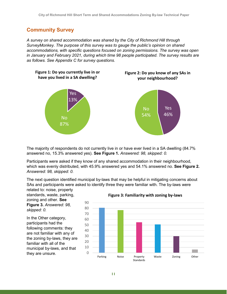### **Community Survey**

*A survey on shared accommodation was shared by the City of Richmond Hill through SurveyMonkey. The purpose of this survey was to gauge the public's opinion on shared accommodations, with specific questions focused on zoning permissions. The survey was open in January and February 2021, during which time 98 people participated. The survey results are as follows. See Appendix C for survey questions.* 



The majority of respondents do not currently live in or have ever lived in a SA dwelling (84.7% answered no, 15.3% answered yes). **See Figure 1.** *Answered: 98, skipped: 0.*

Participants were asked if they know of any shared accommodation in their neighbourhood, which was evenly distributed, with 45.9% answered yes and 54.1% answered no. **See Figure 2.** *Answered: 98, skipped: 0.*

The next question identified municipal by-laws that may be helpful in mitigating concerns about SAs and participants were asked to identify three they were familiar with. The by-laws were

related to: noise, property standards, waste, parking, zoning and other. **See Figure 3.** *Answered: 98, skipped: 0.*

In the Other category, participants had the following comments: they are not familiar with any of the zoning by-laws, they are familiar with all of the municipal by-laws, and that they are unsure.



**Figure 3: Familiarity with zoning by-laws**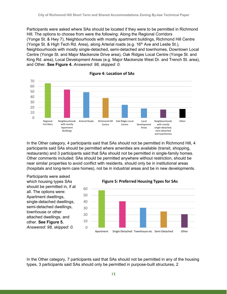Participants were asked where SAs should be located if they were to be permitted in Richmond Hill. The options to choose from were the following: Along the Regional Corridors (Yonge St. & Hwy 7), Neighbourhoods with mostly apartment buildings, Richmond Hill Centre (Yonge St. & High Tech Rd. Area), along Arterial roads (e.g.  $16<sup>th</sup>$  Ave and Leslie St.), Neighbourhoods with mostly single-detached, semi-detached and townhomes, Downtown Local Centre (Yonge St. and Major Mackenzie Drive area), Oak Ridges Local Centre (Yonge St. and King Rd. area), Local Development Areas (e.g. Major Mackenzie West Dr. and Trench St. area), and Other. **See Figure 4.** *Answered: 98, skipped: 0.*



**Figure 4: Location of SAs**

In the Other category, 4 participants said that SAs should not be permitted in Richmond Hill, 4 participants said SAs should be permitted where amenities are available (transit, shopping, restaurants) and 3 participants said that SAs should not be permitted in single-family homes. Other comments included: SAs should be permitted anywhere without restriction, should be near similar properties to avoid conflict with residents, should only be in institutional areas (hospitals and long-term care homes), not be in industrial areas and be in new developments.

Participants were asked which housing types SAs should be permitted in, if at all. The options were: Apartment dwellings, single-detached dwellings, semi-detached dwellings, townhouse or other attached dwellings, and other. **See Figure 5.**  *Answered: 98, skipped: 0.*



In the Other category, 7 participants said that SAs should not be permitted in any of the housing types, 3 participants said SAs should only be permitted in purpose-built structures, 2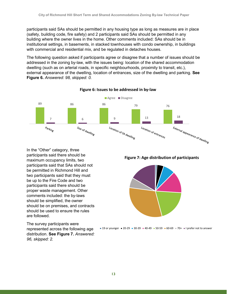participants said SAs should be permitted in any housing type as long as measures are in place (safety, building code, fire safety) and 2 participants said SAs should be permitted in any building where the owner lives in the home. Other comments included: SAs should be in institutional settings, in basements, in stacked townhouses with condo ownership, in buildings with commercial and residential mix, and be regulated in detaches houses.

The following question asked if participants agree or disagree that a number of issues should be addressed in the zoning by-law, with the issues being: location of the shared accommodation dwelling (such as on arterial roads, in specific neighbourhoods, proximity to transit, etc.), external appearance of the dwelling, location of entrances, size of the dwelling and parking. **See Figure 6.** *Answered: 98, skipped: 0.*



#### **Figure 6: Issues to be addressed in by-law**

In the "Other" category, three participants said there should be maximum occupancy limits, two participants said that SAs should not be permitted in Richmond Hill and two participants said that they must be up to the Fire Code and two participants said there should be proper waste management. Other comments included: the by-laws should be simplified, the owner should be on premises, and contracts should be used to ensure the rules are followed.

The survey participants were represented across the following age distribution. **See Figure 7.** *Answered: 96, skipped: 2.*

**Figure 7: Age distribution of participants**



■ 19 or younger ■ 20-29 ■ 30-39 ■ 40-49 ■ 50-59 ■ 60-69 ■ 70+ ■ I prefer not to answer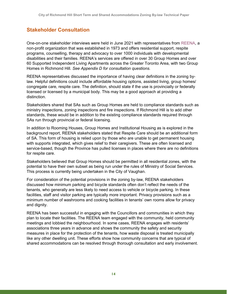## **Stakeholder Consultation**

One-on-one stakeholder interviews were held in June 2021 with representatives from [REENA,](https://www.reena.org/about/) a non-profit organization that was established in 1973 and offers residential support, respite programs, counselling, therapy and advocacy to over 1000 individuals with developmental disabilities and their families. REENA's services are offered in over 30 Group Homes and over 60 Supported Independent Living Apartments across the Greater Toronto Area, with two Group Homes in Richmond Hill. *See Appendix D for consultation questions.*

REENA representatives discussed the importance of having clear definitions in the zoning bylaw. Helpful definitions could include affordable housing options, assisted living, group homes/ congregate care, respite care. The definition, should state if the use is provincially or federally licensed or licensed by a municipal body. This may be a good approach at providing a distinction.

Stakeholders shared that SAs such as Group Homes are held to compliance standards such as ministry inspections, zoning inspections and fire inspections. If Richmond Hill is to add other standards, these would be in addition to the existing compliance standards required through SAs run through provincial or federal licensing.

In addition to Rooming Houses, Group Homes and Institutional Housing as is explored in the background report, REENA stakeholders stated that Respite Care should be an additional form of SA. This form of housing is relied upon by those who are unable to get permanent housing with supports integrated, which gives relief to their caregivers. These are often licensed and service-based, though the Province has pulled licenses in places where there are no definitions for respite care.

Stakeholders believed that Group Homes should be permitted in all residential zones, with the potential to have their own subset as being run under the rules of Ministry of Social Services. This process is currently being undertaken in the City of Vaughan.

For consideration of the potential provisions in the zoning by-law, REENA stakeholders discussed how minimum parking and bicycle standards often don't reflect the needs of the tenants, who generally are less likely to need access to vehicle or bicycle parking. In these facilities, staff and visitor parking are typically more important. Privacy provisions such as a minimum number of washrooms and cooking facilities in tenants' own rooms allow for privacy and dignity.

REENA has been successful in engaging with the Councillors and communities in which they plan to locate their facilities. The REENA team engaged with the community, held community meetings and lobbied the neighbourhood. In some cases, REENA engages with residents' associations three years in advance and shows the community the safety and security measures in place for the protection of the tenants, how waste disposal is treated municipally like any other dwelling unit. These efforts show how community concerns that are typical of shared accommodations can be resolved through thorough consultation and early involvement.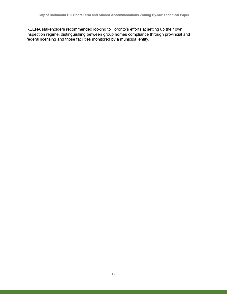REENA stakeholders recommended looking to Toronto's efforts at setting up their own inspection regime, distinguishing between group homes compliance through provincial and federal licensing and those facilities monitored by a municipal entity.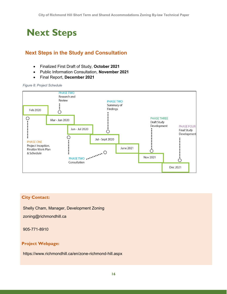## <span id="page-18-0"></span>**Next Steps**

## **Next Steps in the Study and Consultation**

- Finalized First Draft of Study, **October 2021**
- Public Information Consultation, **November 2021**
- Final Report, **December 2021**

#### *Figure 8: Project Schedule*



#### **City Contact:**

Shelly Cham, Manager, Development Zoning

zoning@richmondhill.ca

905-771-8910

#### **Project Webpage:**

https://www.richmondhill.ca/en/zone-richmond-hill.aspx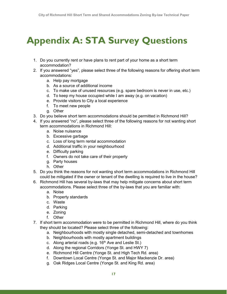# <span id="page-19-0"></span>**Appendix A: STA Survey Questions**

- 1. Do you currently rent or have plans to rent part of your home as a short term accommodation?
- 2. If you answered "yes", please select three of the following reasons for offering short term accommodations:
	- a. Help pay mortgage
	- b. As a source of additional income
	- c. To make use of unused resources (e.g. spare bedroom is never in use, etc.)
	- d. To keep my house occupied while I am away (e.g. on vacation)
	- e. Provide visitors to City a local experience
	- f. To meet new people
	- g. Other
- 3. Do you believe short term accommodations should be permitted in Richmond Hill?
- 4. If you answered "no", please select three of the following reasons for not wanting short term accommodations in Richmond Hill:
	- a. Noise nuisance
	- b. Excessive garbage
	- c. Loss of long term rental accommodation
	- d. Additional traffic in your neighbourhood
	- e. Difficulty parking
	- f. Owners do not take care of their property
	- g. Party houses
	- h. Other
- 5. Do you think the reasons for not wanting short term accommodations in Richmond Hill could be mitigated if the owner or tenant of the dwelling is required to live in the house?
- 6. Richmond Hill has several by-laws that may help mitigate concerns about short term accommodations. Please select three of the by-laws that you are familiar with:
	- a. Noise
	- b. Property standards
	- c. Waste
	- d. Parking
	- e. Zoning
	- f. Other
- 7. If short term accommodation were to be permitted in Richmond Hill, where do you think they should be located? Please select three of the following:
	- a. Neighbourhoods with mostly single detached, semi-detached and townhomes
	- b. Neighbourhoods with mostly apartment buildings
	- c. Along arterial roads (e.g.  $16<sup>th</sup>$  Ave and Leslie St.)
	- d. Along the regional Corridors (Yonge St. and HWY 7)
	- e. Richmond Hill Centre (Yonge St. and High Tech Rd. area)
	- f. Downtown Local Centre (Yonge St. and Major Mackenzie Dr. area)
	- g. Oak Ridges Local Centre (Yonge St. and King Rd. area)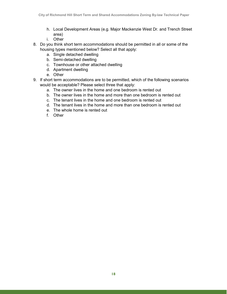- h. Local Development Areas (e.g. Major Mackenzie West Dr. and Trench Street area)
- i. Other
- 8. Do you think short term accommodations should be permitted in all or some of the housing types mentioned below? Select all that apply:
	- a. Single detached dwelling
	- b. Semi-detached dwelling
	- c. Townhouse or other attached dwelling
	- d. Apartment dwelling
	- e. Other
- 9. If short term accommodations are to be permitted, which of the following scenarios would be acceptable? Please select three that apply:
	- a. The owner lives in the home and one bedroom is rented out
	- b. The owner lives in the home and more than one bedroom is rented out
	- c. The tenant lives in the home and one bedroom is rented out
	- d. The tenant lives in the home and more than one bedroom is rented out
	- e. The whole home is rented out
	- f. Other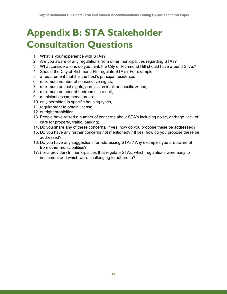# <span id="page-21-0"></span>**Appendix B: STA Stakeholder Consultation Questions**

- 1. What is your experience with STAs?
- 2. Are you aware of any regulations from other municipalities regarding STAs?
- 3. What considerations do you think the City of Richmond Hill should have around STAs?
- 4. Should the City of Richmond Hill regulate STA's? For example:
- 5. a requirement that it is the host's principal residence,
- 6. maximum number of consecutive nights,
- 7. maximum annual nights, permission in all or specific zones,
- 8. maximum number of bedrooms in a unit,
- 9. municipal accommodation tax,
- 10. only permitted in specific housing types,
- 11. requirement to obtain license.
- 12. outright prohibition.
- 13. People have raised a number of concerns about STA's including noise, garbage, lack of care for property, traffic, parking).
- 14. Do you share any of these concerns/ If yes, how do you propose these be addressed?
- 15. Do you have any further concerns not mentioned? / If yes, how do you propose these be addressed?
- 16. Do you have any suggestions for addressing STAs? Any examples you are aware of from other municipalities?
- 17. (for a provider) In municipalities that regulate STAs, which regulations were easy to implement and which were challenging to adhere to?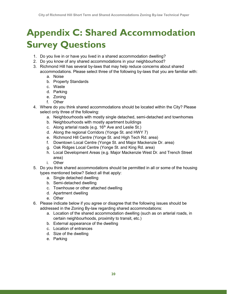# <span id="page-22-0"></span>**Appendix C: Shared Accommodation Survey Questions**

- 1. Do you live in or have you lived in a shared accommodation dwelling?
- 2. Do you know of any shared accommodations in your neighbourhood?
- 3. Richmond Hill has several by-laws that may help reduce concerns about shared accommodations. Please select three of the following by-laws that you are familiar with:
	- a. Noise
	- b. Property Standards
	- c. Waste
	- d. Parking
	- e. Zoning
	- f. Other
- 4. Where do you think shared accommodations should be located within the City? Please select only three of the following:
	- a. Neighbourhoods with mostly single detached, semi-detached and townhomes
	- b. Neighbourhoods with mostly apartment buildings
	- c. Along arterial roads (e.g.  $16<sup>th</sup>$  Ave and Leslie St.)
	- d. Along the regional Corridors (Yonge St. and HWY 7)
	- e. Richmond Hill Centre (Yonge St. and High Tech Rd. area)
	- f. Downtown Local Centre (Yonge St. and Major Mackenzie Dr. area)
	- g. Oak Ridges Local Centre (Yonge St. and King Rd. area)
	- h. Local Development Areas (e.g. Major Mackenzie West Dr. and Trench Street area)
	- i. Other
- 5. Do you think shared accommodations should be permitted in all or some of the housing types mentioned below? Select all that apply:
	- a. Single detached dwelling
	- b. Semi-detached dwelling
	- c. Townhouse or other attached dwelling
	- d. Apartment dwelling
	- e. Other
- 6. Please indicate below if you agree or disagree that the following issues should be addressed in the Zoning By-law regarding shared accommodations:
	- a. Location of the shared accommodation dwelling (such as on arterial roads, in certain neighbourhoods, proximity to transit, etc.)
	- b. External appearance of the dwelling
	- c. Location of entrances
	- d. Size of the dwelling
	- e. Parking